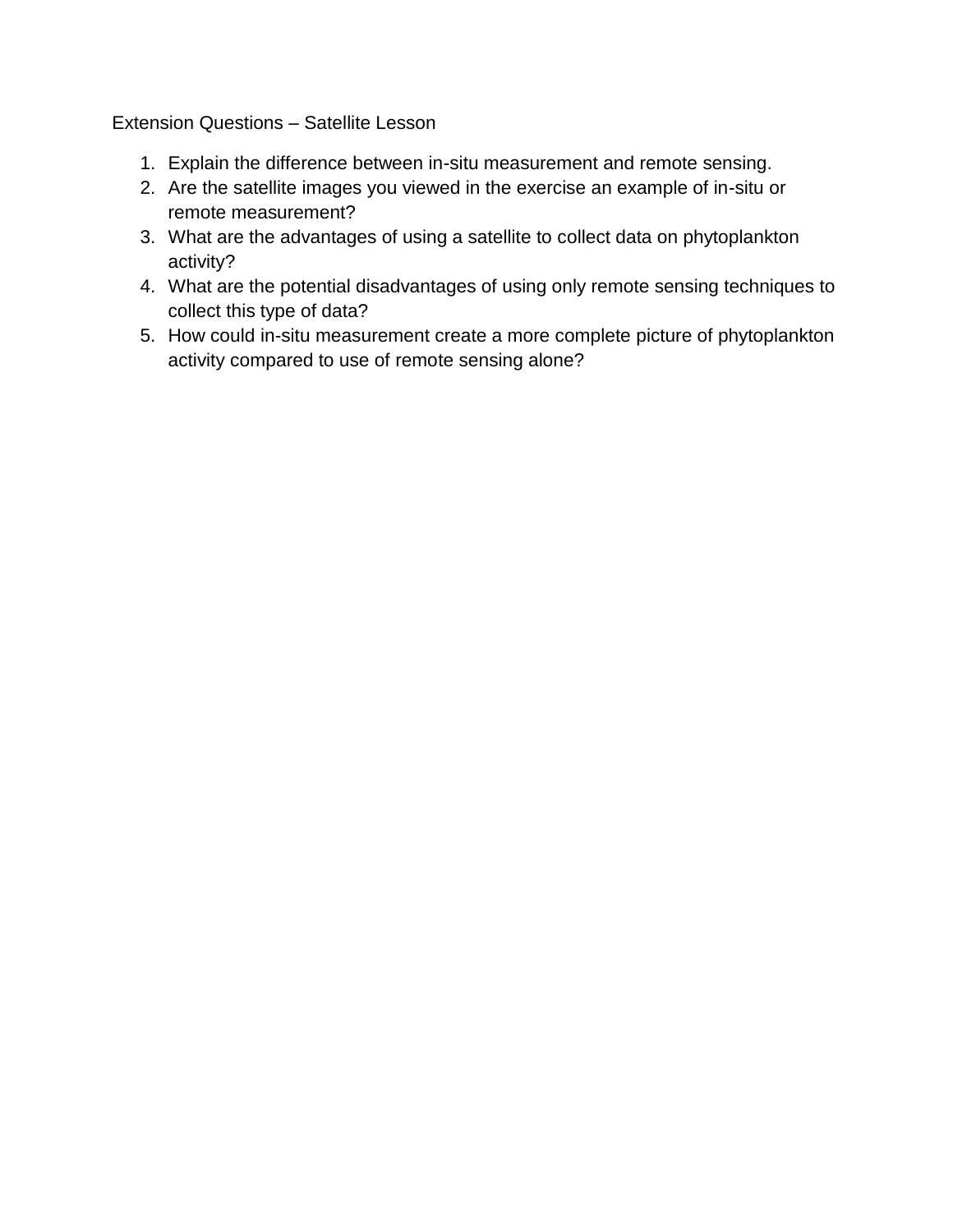Extension Questions – Satellite Lesson

- 1. Explain the difference between in-situ measurement and remote sensing.
- 2. Are the satellite images you viewed in the exercise an example of in-situ or remote measurement?
- 3. What are the advantages of using a satellite to collect data on phytoplankton activity?
- 4. What are the potential disadvantages of using only remote sensing techniques to collect this type of data?
- 5. How could in-situ measurement create a more complete picture of phytoplankton activity compared to use of remote sensing alone?